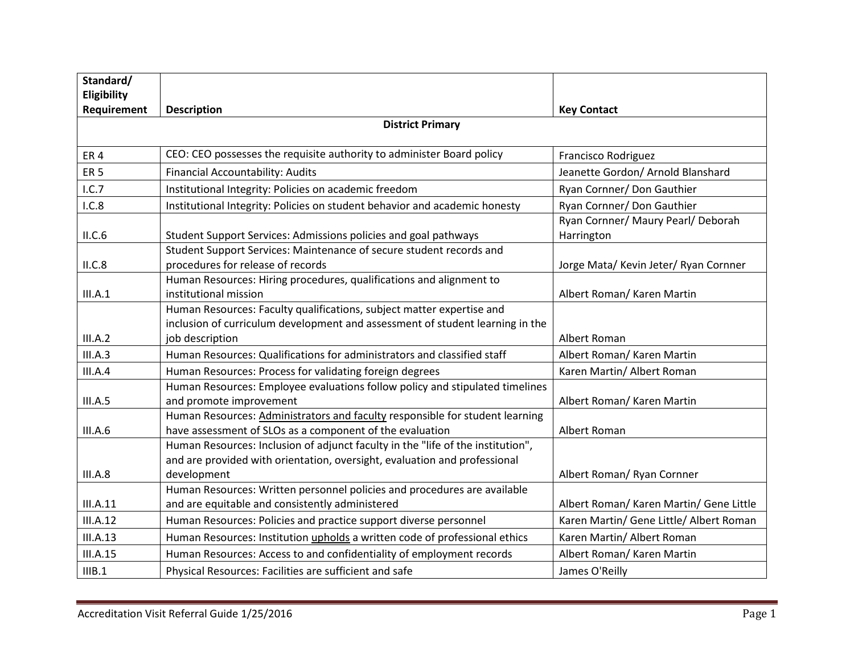| Standard/               |                                                                                                                                                                             |                                                  |  |
|-------------------------|-----------------------------------------------------------------------------------------------------------------------------------------------------------------------------|--------------------------------------------------|--|
| Eligibility             |                                                                                                                                                                             |                                                  |  |
| Requirement             | <b>Description</b>                                                                                                                                                          | <b>Key Contact</b>                               |  |
| <b>District Primary</b> |                                                                                                                                                                             |                                                  |  |
| ER <sub>4</sub>         | CEO: CEO possesses the requisite authority to administer Board policy                                                                                                       | Francisco Rodriguez                              |  |
| ER <sub>5</sub>         | Financial Accountability: Audits                                                                                                                                            | Jeanette Gordon/ Arnold Blanshard                |  |
| 1.C.7                   | Institutional Integrity: Policies on academic freedom                                                                                                                       | Ryan Cornner/ Don Gauthier                       |  |
| 1.C.8                   | Institutional Integrity: Policies on student behavior and academic honesty                                                                                                  | Ryan Cornner/ Don Gauthier                       |  |
| II.C.6                  | Student Support Services: Admissions policies and goal pathways                                                                                                             | Ryan Cornner/ Maury Pearl/ Deborah<br>Harrington |  |
| II.C.8                  | Student Support Services: Maintenance of secure student records and<br>procedures for release of records                                                                    | Jorge Mata/ Kevin Jeter/ Ryan Cornner            |  |
| III.A.1                 | Human Resources: Hiring procedures, qualifications and alignment to<br>institutional mission                                                                                | Albert Roman/ Karen Martin                       |  |
| III.A.2                 | Human Resources: Faculty qualifications, subject matter expertise and<br>inclusion of curriculum development and assessment of student learning in the<br>job description   | Albert Roman                                     |  |
| III.A.3                 | Human Resources: Qualifications for administrators and classified staff                                                                                                     | Albert Roman/ Karen Martin                       |  |
| III.A.4                 | Human Resources: Process for validating foreign degrees                                                                                                                     | Karen Martin/ Albert Roman                       |  |
|                         | Human Resources: Employee evaluations follow policy and stipulated timelines                                                                                                |                                                  |  |
| III.A.5                 | and promote improvement                                                                                                                                                     | Albert Roman/ Karen Martin                       |  |
| III.A.6                 | Human Resources: Administrators and faculty responsible for student learning<br>have assessment of SLOs as a component of the evaluation                                    | Albert Roman                                     |  |
| III.A.8                 | Human Resources: Inclusion of adjunct faculty in the "life of the institution",<br>and are provided with orientation, oversight, evaluation and professional<br>development | Albert Roman/ Ryan Cornner                       |  |
|                         | Human Resources: Written personnel policies and procedures are available                                                                                                    |                                                  |  |
| III.A.11                | and are equitable and consistently administered                                                                                                                             | Albert Roman/ Karen Martin/ Gene Little          |  |
| <b>III.A.12</b>         | Human Resources: Policies and practice support diverse personnel                                                                                                            | Karen Martin/ Gene Little/ Albert Roman          |  |
| <b>III.A.13</b>         | Human Resources: Institution upholds a written code of professional ethics                                                                                                  | Karen Martin/ Albert Roman                       |  |
| <b>III.A.15</b>         | Human Resources: Access to and confidentiality of employment records                                                                                                        | Albert Roman/ Karen Martin                       |  |
| IIIB.1                  | Physical Resources: Facilities are sufficient and safe                                                                                                                      | James O'Reilly                                   |  |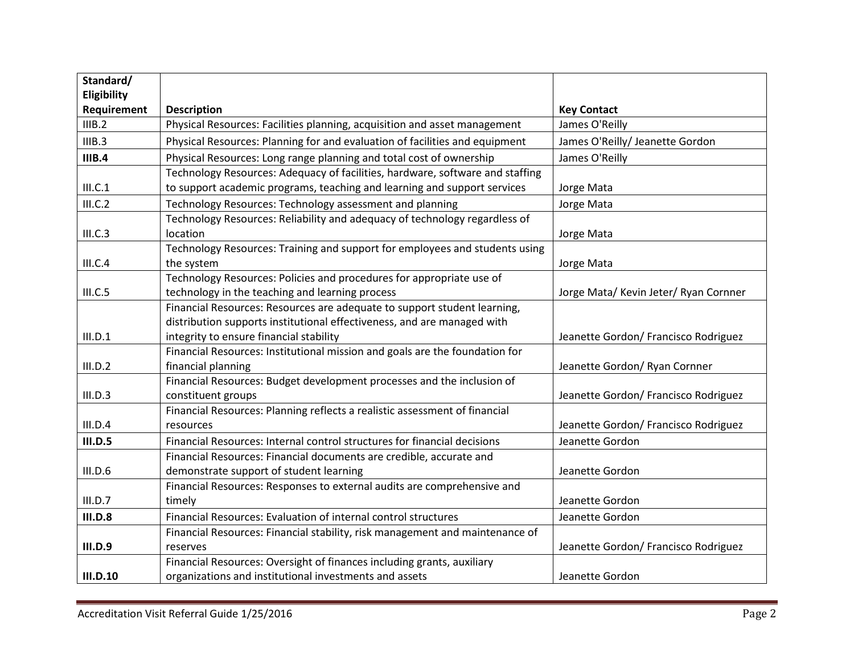| Standard/             |                                                                               |                                       |
|-----------------------|-------------------------------------------------------------------------------|---------------------------------------|
| Eligibility           |                                                                               |                                       |
| Requirement<br>IIIB.2 | <b>Description</b>                                                            | <b>Key Contact</b>                    |
|                       | Physical Resources: Facilities planning, acquisition and asset management     | James O'Reilly                        |
| IIIB.3                | Physical Resources: Planning for and evaluation of facilities and equipment   | James O'Reilly/ Jeanette Gordon       |
| IIIB.4                | Physical Resources: Long range planning and total cost of ownership           | James O'Reilly                        |
|                       | Technology Resources: Adequacy of facilities, hardware, software and staffing |                                       |
| III.C.1               | to support academic programs, teaching and learning and support services      | Jorge Mata                            |
| III.C.2               | Technology Resources: Technology assessment and planning                      | Jorge Mata                            |
|                       | Technology Resources: Reliability and adequacy of technology regardless of    |                                       |
| III.C.3               | location                                                                      | Jorge Mata                            |
|                       | Technology Resources: Training and support for employees and students using   |                                       |
| III.C.4               | the system                                                                    | Jorge Mata                            |
|                       | Technology Resources: Policies and procedures for appropriate use of          |                                       |
| III.C.5               | technology in the teaching and learning process                               | Jorge Mata/ Kevin Jeter/ Ryan Cornner |
|                       | Financial Resources: Resources are adequate to support student learning,      |                                       |
|                       | distribution supports institutional effectiveness, and are managed with       |                                       |
| III.D.1               | integrity to ensure financial stability                                       | Jeanette Gordon/ Francisco Rodriguez  |
|                       | Financial Resources: Institutional mission and goals are the foundation for   |                                       |
| III.D.2               | financial planning                                                            | Jeanette Gordon/ Ryan Cornner         |
|                       | Financial Resources: Budget development processes and the inclusion of        |                                       |
| III.D.3               | constituent groups                                                            | Jeanette Gordon/ Francisco Rodriguez  |
|                       | Financial Resources: Planning reflects a realistic assessment of financial    |                                       |
| III.D.4               | resources                                                                     | Jeanette Gordon/ Francisco Rodriguez  |
| III.D.5               | Financial Resources: Internal control structures for financial decisions      | Jeanette Gordon                       |
|                       | Financial Resources: Financial documents are credible, accurate and           |                                       |
| III.D.6               | demonstrate support of student learning                                       | Jeanette Gordon                       |
|                       | Financial Resources: Responses to external audits are comprehensive and       |                                       |
| III.D.7               | timely                                                                        | Jeanette Gordon                       |
| <b>III.D.8</b>        | Financial Resources: Evaluation of internal control structures                | Jeanette Gordon                       |
|                       | Financial Resources: Financial stability, risk management and maintenance of  |                                       |
| <b>III.D.9</b>        | reserves                                                                      | Jeanette Gordon/ Francisco Rodriguez  |
|                       | Financial Resources: Oversight of finances including grants, auxiliary        |                                       |
| <b>III.D.10</b>       | organizations and institutional investments and assets                        | Jeanette Gordon                       |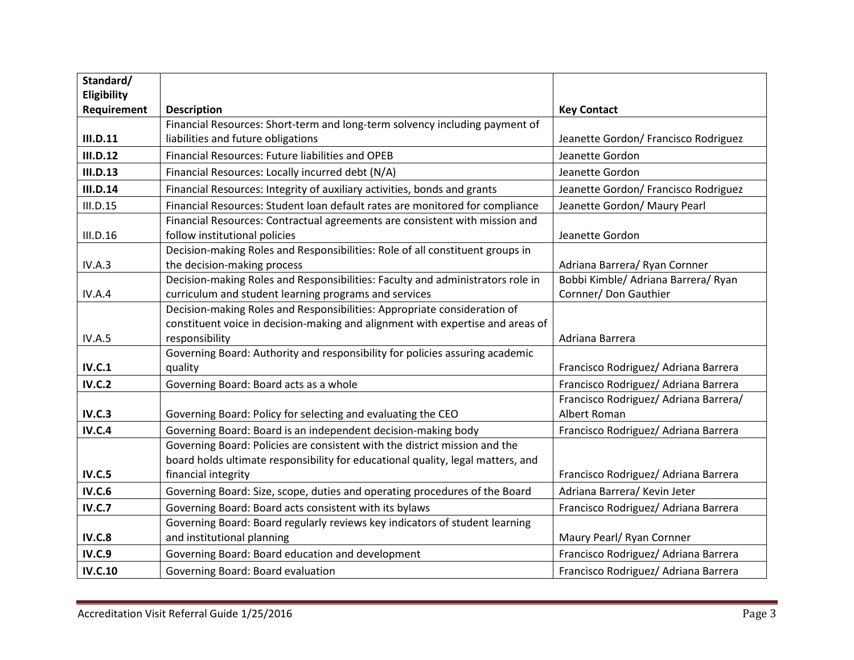| Standard/       |                                                                                                        |                                                       |
|-----------------|--------------------------------------------------------------------------------------------------------|-------------------------------------------------------|
| Eligibility     |                                                                                                        |                                                       |
| Requirement     | <b>Description</b>                                                                                     | <b>Key Contact</b>                                    |
|                 | Financial Resources: Short-term and long-term solvency including payment of                            |                                                       |
| III.D.11        | liabilities and future obligations                                                                     | Jeanette Gordon/ Francisco Rodriguez                  |
| III.D.12        | Financial Resources: Future liabilities and OPEB                                                       | Jeanette Gordon                                       |
| <b>III.D.13</b> | Financial Resources: Locally incurred debt (N/A)                                                       | Jeanette Gordon                                       |
| III.D.14        | Financial Resources: Integrity of auxiliary activities, bonds and grants                               | Jeanette Gordon/ Francisco Rodriguez                  |
| III.D.15        | Financial Resources: Student loan default rates are monitored for compliance                           | Jeanette Gordon/ Maury Pearl                          |
|                 | Financial Resources: Contractual agreements are consistent with mission and                            |                                                       |
| <b>III.D.16</b> | follow institutional policies                                                                          | Jeanette Gordon                                       |
|                 | Decision-making Roles and Responsibilities: Role of all constituent groups in                          |                                                       |
| IV.A.3          | the decision-making process                                                                            | Adriana Barrera/ Ryan Cornner                         |
|                 | Decision-making Roles and Responsibilities: Faculty and administrators role in                         | Bobbi Kimble/ Adriana Barrera/ Ryan                   |
| IV.A.4          | curriculum and student learning programs and services                                                  | Cornner/ Don Gauthier                                 |
|                 | Decision-making Roles and Responsibilities: Appropriate consideration of                               |                                                       |
|                 | constituent voice in decision-making and alignment with expertise and areas of                         |                                                       |
| IV.A.5          | responsibility                                                                                         | Adriana Barrera                                       |
|                 | Governing Board: Authority and responsibility for policies assuring academic                           |                                                       |
| <b>IV.C.1</b>   | quality                                                                                                | Francisco Rodriguez/ Adriana Barrera                  |
| <b>IV.C.2</b>   | Governing Board: Board acts as a whole                                                                 | Francisco Rodriguez/ Adriana Barrera                  |
|                 |                                                                                                        | Francisco Rodriguez/ Adriana Barrera/<br>Albert Roman |
| <b>IV.C.3</b>   | Governing Board: Policy for selecting and evaluating the CEO                                           |                                                       |
| <b>IV.C.4</b>   | Governing Board: Board is an independent decision-making body                                          | Francisco Rodriguez/ Adriana Barrera                  |
|                 | Governing Board: Policies are consistent with the district mission and the                             |                                                       |
| <b>IV.C.5</b>   | board holds ultimate responsibility for educational quality, legal matters, and<br>financial integrity | Francisco Rodriguez/ Adriana Barrera                  |
| <b>IV.C.6</b>   |                                                                                                        | Adriana Barrera/ Kevin Jeter                          |
|                 | Governing Board: Size, scope, duties and operating procedures of the Board                             |                                                       |
| <b>IV.C.7</b>   | Governing Board: Board acts consistent with its bylaws                                                 | Francisco Rodriguez/ Adriana Barrera                  |
| <b>IV.C.8</b>   | Governing Board: Board regularly reviews key indicators of student learning                            |                                                       |
|                 | and institutional planning                                                                             | Maury Pearl/ Ryan Cornner                             |
| <b>IV.C.9</b>   | Governing Board: Board education and development                                                       | Francisco Rodriguez/ Adriana Barrera                  |
| <b>IV.C.10</b>  | Governing Board: Board evaluation                                                                      | Francisco Rodriguez/ Adriana Barrera                  |